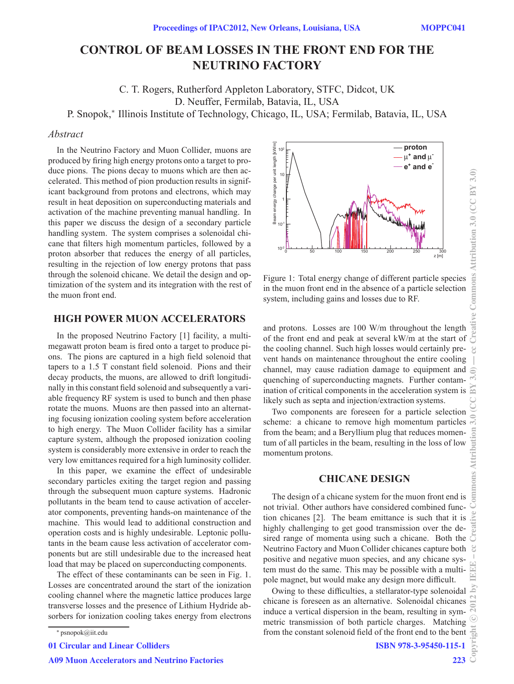# **CONTROL OF BEAM LOSSES IN THE FRONT END FOR THE NEUTRINO FACTORY**

C. T. Rogers, Rutherford Appleton Laboratory, STFC, Didcot, UK D. Neuffer, Fermilab, Batavia, IL, USA

P. Snopok,<sup>∗</sup> Illinois Institute of Technology, Chicago, IL, USA; Fermilab, Batavia, IL, USA

# *Abstract*

In the Neutrino Factory and Muon Collider, muons are produced by firing high energy protons onto a target to produce pions. The pions decay to muons which are then accelerated. This method of pion production results in significant background from protons and electrons, which may result in heat deposition on superconducting materials and activation of the machine preventing manual handling. In this paper we discuss the design of a secondary particle handling system. The system comprises a solenoidal chicane that filters high momentum particles, followed by a proton absorber that reduces the energy of all particles, resulting in the rejection of low energy protons that pass through the solenoid chicane. We detail the design and optimization of the system and its integration with the rest of the muon front end.

# **HIGH POWER MUON ACCELERATORS**

In the proposed Neutrino Factory [1] facility, a multimegawatt proton beam is fired onto a target to produce pions. The pions are captured in a high field solenoid that tapers to a 1.5 T constant field solenoid. Pions and their decay products, the muons, are allowed to drift longitudinally in this constant field solenoid and subsequently a variable frequency RF system is used to bunch and then phase rotate the muons. Muons are then passed into an alternating focusing ionization cooling system before acceleration to high energy. The Muon Collider facility has a similar capture system, although the proposed ionization cooling system is considerably more extensive in order to reach the very low emittances required for a high luminosity collider.

In this paper, we examine the effect of undesirable secondary particles exiting the target region and passing through the subsequent muon capture systems. Hadronic pollutants in the beam tend to cause activation of accelerator components, preventing hands-on maintenance of the machine. This would lead to additional construction and operation costs and is highly undesirable. Leptonic pollutants in the beam cause less activation of accelerator components but are still undesirable due to the increased heat load that may be placed on superconducting components.

The effect of these contaminants can be seen in Fig. 1. Losses are concentrated around the start of the ionization cooling channel where the magnetic lattice produces large transverse losses and the presence of Lithium Hydride absorbers for ionization cooling takes energy from electrons

01 Circular and Linear Colliders



Figure 1: Total energy change of different particle species in the muon front end in the absence of a particle selection system, including gains and losses due to RF.

and protons. Losses are 100 W/m throughout the length of the front end and peak at several kW/m at the start of the cooling channel. Such high losses would certainly prevent hands on maintenance throughout the entire cooling channel, may cause radiation damage to equipment and quenching of superconducting magnets. Further contamination of critical components in the acceleration system is likely such as septa and injection/extraction systems.

Two components are foreseen for a particle selection scheme: a chicane to remove high momentum particles from the beam; and a Beryllium plug that reduces momentum of all particles in the beam, resulting in the loss of low momentum protons.

# **CHICANE DESIGN**

The design of a chicane system for the muon front end is not trivial. Other authors have considered combined function chicanes [2]. The beam emittance is such that it is highly challenging to get good transmission over the desired range of momenta using such a chicane. Both the Neutrino Factory and Muon Collider chicanes capture both  $\mathcal{C}$ positive and negative muon species, and any chicane system must do the same. This may be possible with a multipole magnet, but would make any design more difficult.

Owing to these difficulties, a stellarator-type solenoidal chicane is foreseen as an alternative. Solenoidal chicanes induce a vertical dispersion in the beam, resulting in symmetric transmission of both particle charges. Matching from the constant solenoid field of the front end to the bent

<sup>∗</sup> psnopok@iit.edu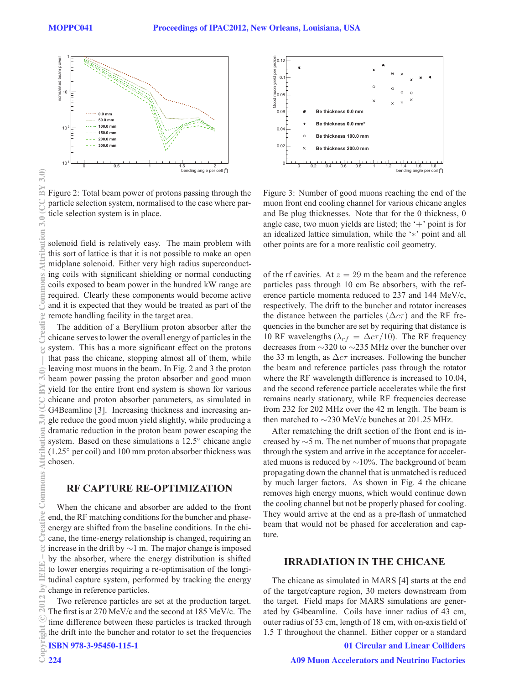3.0) BY

 $\frac{1}{2}$ 

ribution

**M** 

Commo

ve Creati

€



Figure 2: Total beam power of protons passing through the particle selection system, normalised to the case where particle selection system is in place.

solenoid field is relatively easy. The main problem with this sort of lattice is that it is not possible to make an open midplane solenoid. Either very high radius superconducting coils with significant shielding or normal conducting coils exposed to beam power in the hundred kW range are required. Clearly these components would become active and it is expected that they would be treated as part of the remote handling facility in the target area.

The addition of a Beryllium proton absorber after the chicane serves to lower the overall energy of particles in the system. This has a more significant effect on the protons that pass the chicane, stopping almost all of them, while leaving most muons in the beam. In Fig. 2 and 3 the proton beam power passing the proton absorber and good muon yield for the entire front end system is shown for various chicane and proton absorber parameters, as simulated in G4Beamline [3]. Increasing thickness and increasing angle reduce the good muon yield slightly, while producing a dramatic reduction in the proton beam power escaping the system. Based on these simulations a 12.5° chicane angle (1.25◦ per coil) and 100 mm proton absorber thickness was chosen. 2012 by IEEE – cc Creative Commons Attribution 3.0 (CC BY 3.0) — cc Creative Commons Attribution 3.0 (CC BY 3.0)

#### **RF CAPTURE RE-OPTIMIZATION**

When the chicane and absorber are added to the front end, the RF matching conditions for the buncher and phaseenergy are shifted from the baseline conditions. In the chicane, the time-energy relationship is changed, requiring an increase in the drift by ∼1 m. The major change is imposed by the absorber, where the energy distribution is shifted to lower energies requiring a re-optimisation of the longitudinal capture system, performed by tracking the energy change in reference particles.

Two reference particles are set at the production target. The first is at 270 MeV/c and the second at 185 MeV/c. The time difference between these particles is tracked through the drift into the buncher and rotator to set the frequencies

ISBN 978-3-95450-115-1



Figure 3: Number of good muons reaching the end of the muon front end cooling channel for various chicane angles and Be plug thicknesses. Note that for the 0 thickness, 0 angle case, two muon yields are listed; the  $+$  point is for an idealized lattice simulation, while the '∗' point and all other points are for a more realistic coil geometry.

of the rf cavities. At  $z = 29$  m the beam and the reference particles pass through 10 cm Be absorbers, with the reference particle momenta reduced to 237 and 144 MeV/c, respectively. The drift to the buncher and rotator increases the distance between the particles  $(\Delta c \tau)$  and the RF frequencies in the buncher are set by requiring that distance is 10 RF wavelengths ( $\lambda_{rf} = \Delta c \tau / 10$ ). The RF frequency decreases from ∼320 to ∼235 MHz over the buncher over the 33 m length, as  $\Delta c\tau$  increases. Following the buncher the beam and reference particles pass through the rotator where the RF wavelength difference is increased to 10.04, and the second reference particle accelerates while the first remains nearly stationary, while RF frequencies decrease from 232 for 202 MHz over the 42 m length. The beam is then matched to ∼230 MeV/c bunches at 201.25 MHz.

After rematching the drift section of the front end is increased by ∼5 m. The net number of muons that propagate through the system and arrive in the acceptance for accelerated muons is reduced by ∼10%. The background of beam propagating down the channel that is unmatched is reduced by much larger factors. As shown in Fig. 4 the chicane removes high energy muons, which would continue down the cooling channel but not be properly phased for cooling. They would arrive at the end as a pre-flash of unmatched beam that would not be phased for acceleration and capture.

#### **IRRADIATION IN THE CHICANE**

The chicane as simulated in MARS [4] starts at the end of the target/capture region, 30 meters downstream from the target. Field maps for MARS simulations are generated by G4beamline. Coils have inner radius of 43 cm, outer radius of 53 cm, length of 18 cm, with on-axis field of 1.5 T throughout the channel. Either copper or a standard

#### 01 Circular and Linear Colliders